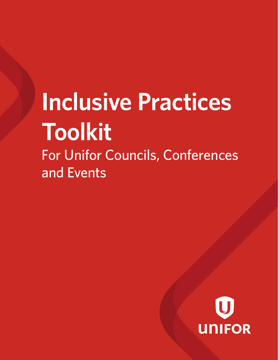# For Unifor Councils, Conferences and Events **Inclusive Practices Toolkit**

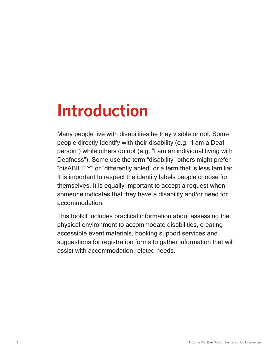## **Introduction**

Many people live with disabilities be they visible or not. Some people directly identify with their disability (e.g. "I am a Deaf person") while others do not (e.g. "I am an individual living with Deafness"). Some use the term "disability" others might prefer "disABILITY" or "differently abled" or a term that is less familiar. It is important to respect the identity labels people choose for themselves. It is equally important to accept a request when someone indicates that they have a disability and/or need for accommodation.

This toolkit includes practical information about assessing the physical environment to accommodate disabilities, creating accessible event materials, booking support services and suggestions for registration forms to gather information that will assist with accommodation-related needs.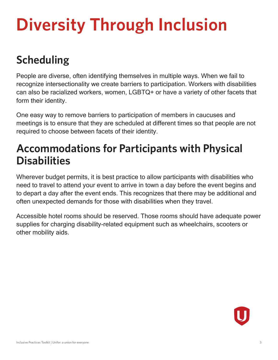# **Diversity Through Inclusion**

## **Scheduling**

People are diverse, often identifying themselves in multiple ways. When we fail to recognize intersectionality we create barriers to participation. Workers with disabilities can also be racialized workers, women, LGBTQ+ or have a variety of other facets that form their identity.

One easy way to remove barriers to participation of members in caucuses and meetings is to ensure that they are scheduled at different times so that people are not required to choose between facets of their identity.

### **Accommodations for Participants with Physical Disabilities**

Wherever budget permits, it is best practice to allow participants with disabilities who need to travel to attend your event to arrive in town a day before the event begins and to depart a day after the event ends. This recognizes that there may be additional and often unexpected demands for those with disabilities when they travel.

Accessible hotel rooms should be reserved. Those rooms should have adequate power supplies for charging disability-related equipment such as wheelchairs, scooters or other mobility aids.

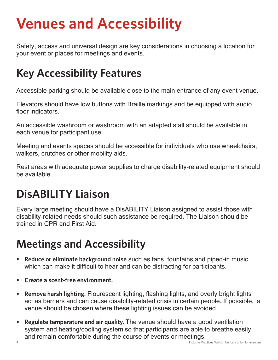## **Venues and Accessibility**

Safety, access and universal design are key considerations in choosing a location for your event or places for meetings and events.

### **Key Accessibility Features**

Accessible parking should be available close to the main entrance of any event venue.

Elevators should have low buttons with Braille markings and be equipped with audio floor indicators.

An accessible washroom or washroom with an adapted stall should be available in each venue for participant use.

Meeting and events spaces should be accessible for individuals who use wheelchairs, walkers, crutches or other mobility aids.

Rest areas with adequate power supplies to charge disability-related equipment should be available.

## **DisABILITY Liaison**

Every large meeting should have a DisABILITY Liaison assigned to assist those with disability-related needs should such assistance be required. The Liaison should be trained in CPR and First Aid.

### **Meetings and Accessibility**

- **• Reduce or eliminate background noise** such as fans, fountains and piped-in music which can make it difficult to hear and can be distracting for participants.
- **• Create a scent-free environment.**
- **• Remove harsh lighting.** Flourescent lighting, flashing lights, and overly bright lights act as barriers and can cause disability-related crisis in certain people. If possible, a venue should be chosen where these lighting issues can be avoided.
- **• Regulate temperature and air quality.** The venue should have a good ventilation system and heating/cooling system so that participants are able to breathe easily and remain comfortable during the course of events or meetings.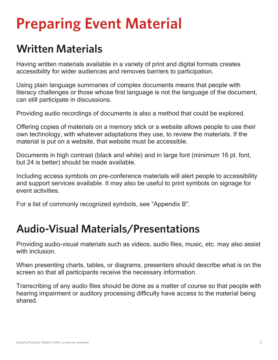### **Written Materials**

Having written materials available in a variety of print and digital formats creates accessibility for wider audiences and removes barriers to participation.

Using plain language summaries of complex documents means that people with literacy challenges or those whose first language is not the language of the document, can still participate in discussions.

Providing audio recordings of documents is also a method that could be explored.

Offering copies of materials on a memory stick or a website allows people to use their own technology, with whatever adaptations they use, to review the materials. If the material is put on a website, that website must be accessible.

Documents in high contrast (black and white) and in large font (minimum 16 pt. font, but 24 is better) should be made available.

Including access symbols on pre-conference materials will alert people to accessibility and support services available. It may also be useful to print symbols on signage for event activities.

For a list of commonly recognized symbols, see "Appendix B".

### **Audio-Visual Materials/Presentations**

Providing audio-visual materials such as videos, audio files, music, etc. may also assist with inclusion.

When presenting charts, tables, or diagrams, presenters should describe what is on the screen so that all participants receive the necessary information.

Transcribing of any audio files should be done as a matter of course so that people with hearing impairment or auditory processing difficulty have access to the material being shared.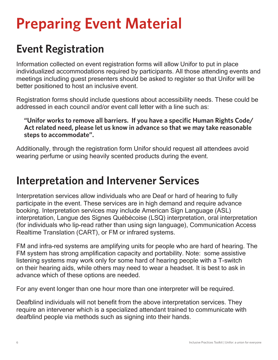### **Event Registration**

Information collected on event registration forms will allow Unifor to put in place individualized accommodations required by participants. All those attending events and meetings including guest presenters should be asked to register so that Unifor will be better positioned to host an inclusive event.

Registration forms should include questions about accessibility needs. These could be addressed in each council and/or event call letter with a line such as:

**"Unifor works to remove all barriers. If you have a specific Human Rights Code/ Act related need, please let us know in advance so that we may take reasonable steps to accommodate".**

Additionally, through the registration form Unifor should request all attendees avoid wearing perfume or using heavily scented products during the event.

### **Interpretation and Intervener Services**

Interpretation services allow individuals who are Deaf or hard of hearing to fully participate in the event. These services are in high demand and require advance booking. Interpretation services may include American Sign Language (ASL) interpretation, Langue des Signes Québécoise (LSQ) interpretation, oral interpretation (for individuals who lip-read rather than using sign language), Communication Access Realtime Translation (CART), or FM or infrared systems.

FM and infra-red systems are amplifying units for people who are hard of hearing. The FM system has strong amplification capacity and portability. Note: some assistive listening systems may work only for some hard of hearing people with a T-switch on their hearing aids, while others may need to wear a headset. It is best to ask in advance which of these options are needed.

For any event longer than one hour more than one interpreter will be required.

Deafblind individuals will not benefit from the above interpretation services. They require an intervener which is a specialized attendant trained to communicate with deafblind people via methods such as signing into their hands.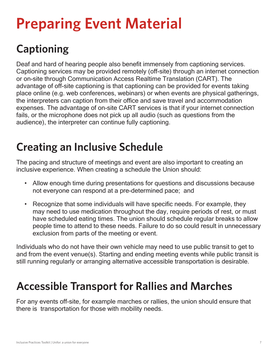## **Captioning**

Deaf and hard of hearing people also benefit immensely from captioning services. Captioning services may be provided remotely (off-site) through an internet connection or on-site through Communication Access Realtime Translation (CART). The advantage of off-site captioning is that captioning can be provided for events taking place online (e.g. web conferences, webinars) or when events are physical gatherings, the interpreters can caption from their office and save travel and accommodation expenses. The advantage of on-site CART services is that if your internet connection fails, or the microphone does not pick up all audio (such as questions from the audience), the interpreter can continue fully captioning.

### **Creating an Inclusive Schedule**

The pacing and structure of meetings and event are also important to creating an inclusive experience. When creating a schedule the Union should:

- Allow enough time during presentations for questions and discussions because not everyone can respond at a pre-determined pace; and
- Recognize that some individuals will have specific needs. For example, they may need to use medication throughout the day, require periods of rest, or must have scheduled eating times. The union should schedule regular breaks to allow people time to attend to these needs. Failure to do so could result in unnecessary exclusion from parts of the meeting or event.

Individuals who do not have their own vehicle may need to use public transit to get to and from the event venue(s). Starting and ending meeting events while public transit is still running regularly or arranging alternative accessible transportation is desirable.

### **Accessible Transport for Rallies and Marches**

For any events off-site, for example marches or rallies, the union should ensure that there is transportation for those with mobility needs.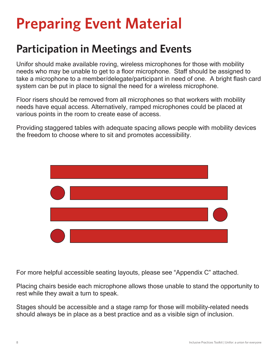### **Participation in Meetings and Events**

Unifor should make available roving, wireless microphones for those with mobility needs who may be unable to get to a floor microphone. Staff should be assigned to take a microphone to a member/delegate/participant in need of one. A bright flash card system can be put in place to signal the need for a wireless microphone.

Floor risers should be removed from all microphones so that workers with mobility needs have equal access. Alternatively, ramped microphones could be placed at various points in the room to create ease of access.

Providing staggered tables with adequate spacing allows people with mobility devices the freedom to choose where to sit and promotes accessibility.



For more helpful accessible seating layouts, please see "Appendix C" attached.

Placing chairs beside each microphone allows those unable to stand the opportunity to rest while they await a turn to speak.

Stages should be accessible and a stage ramp for those will mobility-related needs should always be in place as a best practice and as a visible sign of inclusion.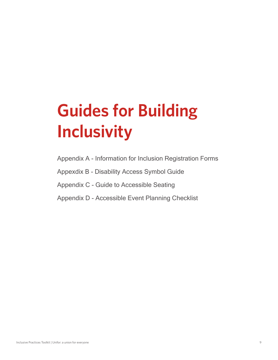# **Guides for Building Inclusivity**

- Appendix A Information for Inclusion Registration Forms
- Appexdix B Disability Access Symbol Guide
- Appendix C Guide to Accessible Seating
- Appendix D Accessible Event Planning Checklist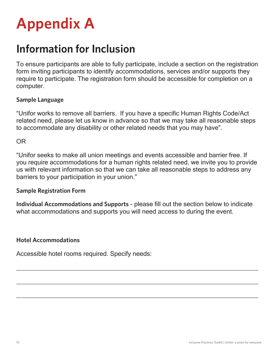

### **Information for Inclusion**

To ensure participants are able to fully participate, include a section on the registration form inviting participants to identify accommodations, services and/or supports they require to participate. The registration form should be accessible for completion on a computer.

#### **Sample Language**

"Unifor works to remove all barriers. If you have a specific Human Rights Code/Act related need, please let us know in advance so that we may take all reasonable steps to accommodate any disability or other related needs that you may have".

OR

"Unifor seeks to make all union meetings and events accessible and barrier free. If you require accommodations for a human rights related need, we invite you to provide us with relevant information so that we can take all reasonable steps to address any barriers to your participation in your union."

#### **Sample Registration Form**

**Individual Accommodations and Supports** - please fill out the section below to indicate what accommodations and supports you will need access to during the event.

 $\_$  , and the contribution of the contribution of  $\mathcal{L}_\mathcal{A}$  , and the contribution of  $\mathcal{L}_\mathcal{A}$ 

 $\_$  , and the contribution of the contribution of  $\mathcal{L}_\mathcal{A}$  , and the contribution of  $\mathcal{L}_\mathcal{A}$ 

 $\_$  , and the contribution of the contribution of  $\mathcal{L}_\mathcal{A}$  , and the contribution of  $\mathcal{L}_\mathcal{A}$ 

#### **Hotel Accommodations**

Accessible hotel rooms required. Specify needs: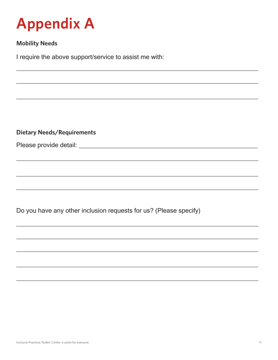

#### **Mobility Needs**

I require the above support/service to assist me with:

**Dietary Needs/Requirements** 

Do you have any other inclusion requests for us? (Please specify)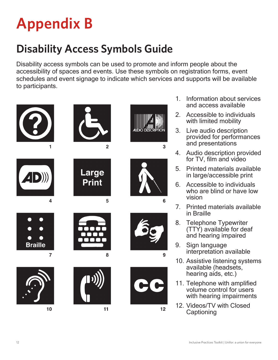## **Appendix B**

## **Disability Access Symbols Guide**

Disability access symbols can be used to promote and inform people about the accessibility of spaces and events. Use these symbols on registration forms, event schedules and event signage to indicate which services and supports will be available to participants.



- 1. Information about services and access available
- 2. Accessible to individuals with limited mobility
- 3. Live audio description provided for performances and presentations
- 4. Audio description provided for TV, film and video
- 5. Printed materials available in large/accessible print
- 6. Accessible to individuals who are blind or have low vision
- 7. Printed materials available in Braille
- 8. Telephone Typewriter (TTY) available for deaf and hearing impaired
- 9. Sign language interpretation available
- 10. Assistive listening systems available (headsets, hearing aids, etc.)
- 11. Telephone with amplified volume control for users with hearing impairments
- 12. Videos/TV with Closed **Captioning**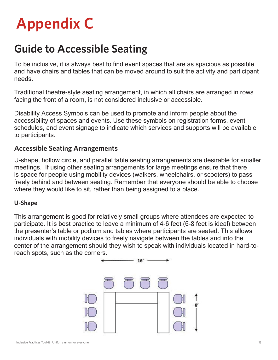## **Appendix C**

### **Guide to Accessible Seating**

To be inclusive, it is always best to find event spaces that are as spacious as possible and have chairs and tables that can be moved around to suit the activity and participant needs.

Traditional theatre-style seating arrangement, in which all chairs are arranged in rows facing the front of a room, is not considered inclusive or accessible.

Disability Access Symbols can be used to promote and inform people about the accessibility of spaces and events. Use these symbols on registration forms, event schedules, and event signage to indicate which services and supports will be available to participants.

### **Accessible Seating Arrangements**

U-shape, hollow circle, and parallel table seating arrangements are desirable for smaller meetings. If using other seating arrangements for large meetings ensure that there is space for people using mobility devices (walkers, wheelchairs, or scooters) to pass freely behind and between seating. Remember that everyone should be able to choose where they would like to sit, rather than being assigned to a place.

#### **U-Shape**

This arrangement is good for relatively small groups where attendees are expected to participate. It is best practice to leave a minimum of 4-6 feet (6-8 feet is ideal) between the presenter's table or podium and tables where participants are seated. This allows individuals with mobility devices to freely navigate between the tables and into the center of the arrangement should they wish to speak with individuals located in hard-toreach spots, such as the corners.

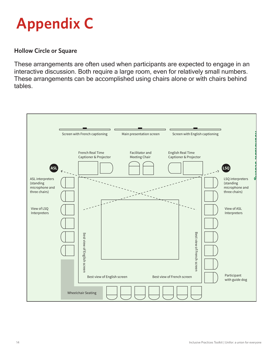

#### **Hollow Circle or Square**

These arrangements are often used when participants are expected to engage in an interactive discussion. Both require a large room, even for relatively small numbers. These arrangements can be accomplished using chairs alone or with chairs behind tables.

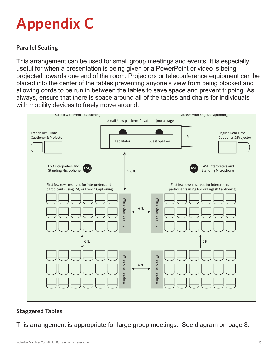## **Appendix C**

#### **Parallel Seating**

This arrangement can be used for small group meetings and events. It is especially useful for when a presentation is being given or a PowerPoint or video is being projected towards one end of the room. Projectors or teleconference equipment can be placed into the center of the tables preventing anyone's view from being blocked and allowing cords to be run in between the tables to save space and prevent tripping. As always, ensure that there is space around all of the tables and chairs for individuals with mobility devices to freely move around.



#### **Staggered Tables**

This arrangement is appropriate for large group meetings. See diagram on page 8.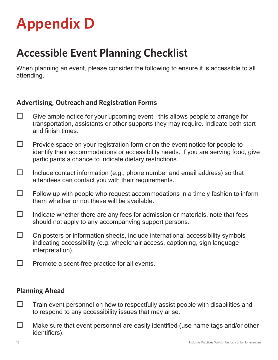### **Accessible Event Planning Checklist**

When planning an event, please consider the following to ensure it is accessible to all attending.

### **Advertising, Outreach and Registration Forms**

- $\Box$  Give ample notice for your upcoming event this allows people to arrange for transportation, assistants or other supports they may require. Indicate both start and finish times.
- $\Box$  Provide space on your registration form or on the event notice for people to identify their accommodations or accessibility needs. If you are serving food, give participants a chance to indicate dietary restrictions.
- $\Box$  Include contact information (e.g., phone number and email address) so that attendees can contact you with their requirements.
- $\Box$  Follow up with people who request accommodations in a timely fashion to inform them whether or not these will be available.
- $\Box$  Indicate whether there are any fees for admission or materials, note that fees should not apply to any accompanying support persons.
- $\Box$  On posters or information sheets, include international accessibility symbols indicating accessibility (e.g. wheelchair access, captioning, sign language interpretation).
- $\Box$  Promote a scent-free practice for all events.

#### **Planning Ahead**

- $\Box$  Train event personnel on how to respectfully assist people with disabilities and to respond to any accessibility issues that may arise.
- $\square$  Make sure that event personnel are easily identified (use name tags and/or other identifiers).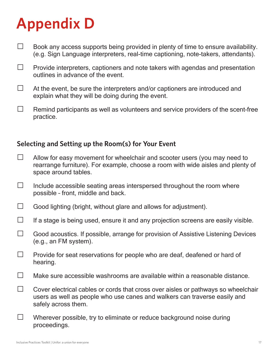- $\Box$  Book any access supports being provided in plenty of time to ensure availability. (e.g. Sign Language interpreters, real-time captioning, note-takers, attendants).
- $\Box$  Provide interpreters, captioners and note takers with agendas and presentation outlines in advance of the event.
- $\Box$  At the event, be sure the interpreters and/or captioners are introduced and explain what they will be doing during the event.
- $\Box$  Remind participants as well as volunteers and service providers of the scent-free practice.

### **Selecting and Setting up the Room(s) for Your Event**

- $\Box$  Allow for easy movement for wheelchair and scooter users (you may need to rearrange furniture). For example, choose a room with wide aisles and plenty of space around tables.
- $\square$  Include accessible seating areas interspersed throughout the room where possible – front, middle and back.
- $\Box$  Good lighting (bright, without glare and allows for adjustment).
- $\Box$  If a stage is being used, ensure it and any projection screens are easily visible.
- $\Box$  Good acoustics. If possible, arrange for provision of Assistive Listening Devices (e.g., an FM system).
- $\Box$  Provide for seat reservations for people who are deaf, deafened or hard of hearing.
- $\Box$  Make sure accessible washrooms are available within a reasonable distance.
- $\Box$  Cover electrical cables or cords that cross over aisles or pathways so wheelchair users as well as people who use canes and walkers can traverse easily and safely across them.
- $\Box$  Wherever possible, try to eliminate or reduce background noise during proceedings.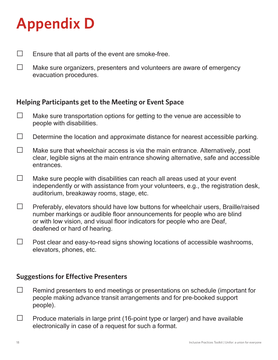$\Box$  Ensure that all parts of the event are smoke-free.

 $\Box$  Make sure organizers, presenters and volunteers are aware of emergency evacuation procedures.

### **Helping Participants get to the Meeting or Event Space**

- $\Box$  Make sure transportation options for getting to the venue are accessible to people with disabilities.
- $\Box$  Determine the location and approximate distance for nearest accessible parking.
- $\Box$  Make sure that wheelchair access is via the main entrance. Alternatively, post clear, legible signs at the main entrance showing alternative, safe and accessible entrances.
- $\Box$  Make sure people with disabilities can reach all areas used at your event independently or with assistance from your volunteers, e.g., the registration desk, auditorium, breakaway rooms, stage, etc.
- $\Box$  Preferably, elevators should have low buttons for wheelchair users, Braille/raised number markings or audible floor announcements for people who are blind or with low vision, and visual floor indicators for people who are Deaf, deafened or hard of hearing.
- $\Box$  Post clear and easy-to-read signs showing locations of accessible washrooms, elevators, phones, etc.

#### **Suggestions for Effective Presenters**

- $\Box$  Remind presenters to end meetings or presentations on schedule (important for people making advance transit arrangements and for pre-booked support people).
- $\Box$  Produce materials in large print (16-point type or larger) and have available electronically in case of a request for such a format.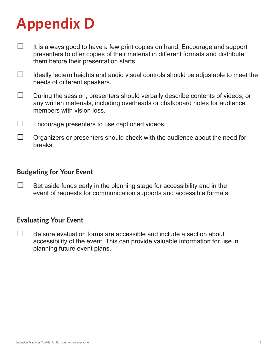- $\Box$  It is always good to have a few print copies on hand. Encourage and support presenters to offer copies of their material in different formats and distribute them before their presentation starts.
- $\Box$  Ideally lectern heights and audio visual controls should be adjustable to meet the needs of different speakers.
- $\Box$  During the session, presenters should verbally describe contents of videos, or any written materials, including overheads or chalkboard notes for audience members with vision loss.
- $\Box$  Encourage presenters to use captioned videos.
- $\Box$  Organizers or presenters should check with the audience about the need for breaks.

#### **Budgeting for Your Event**

 $\Box$  Set aside funds early in the planning stage for accessibility and in the event of requests for communication supports and accessible formats.

#### **Evaluating Your Event**

 $\Box$  Be sure evaluation forms are accessible and include a section about accessibility of the event. This can provide valuable information for use in planning future event plans.